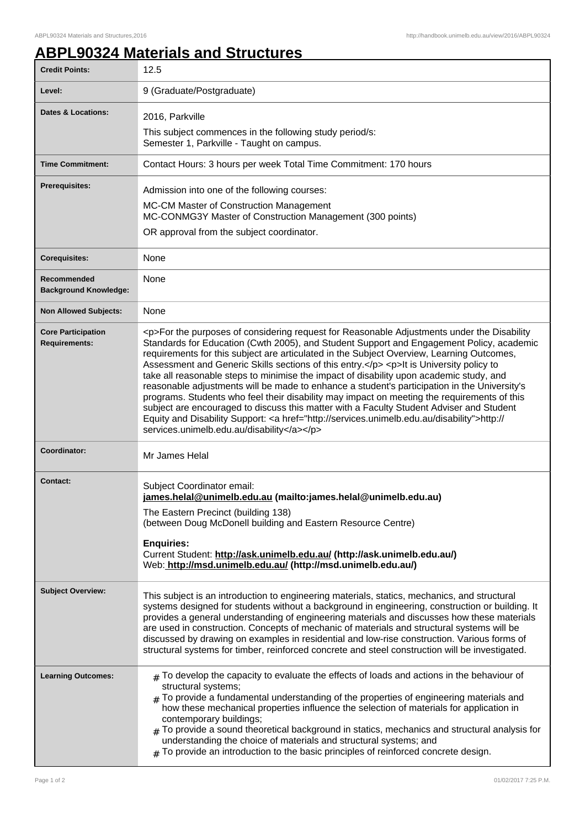## **ABPL90324 Materials and Structures**

| <b>Credit Points:</b>                             | 12.5                                                                                                                                                                                                                                                                                                                                                                                                                                                                                                                                                                                                                                                                                                                                                                                                                                                                                                                         |
|---------------------------------------------------|------------------------------------------------------------------------------------------------------------------------------------------------------------------------------------------------------------------------------------------------------------------------------------------------------------------------------------------------------------------------------------------------------------------------------------------------------------------------------------------------------------------------------------------------------------------------------------------------------------------------------------------------------------------------------------------------------------------------------------------------------------------------------------------------------------------------------------------------------------------------------------------------------------------------------|
| Level:                                            | 9 (Graduate/Postgraduate)                                                                                                                                                                                                                                                                                                                                                                                                                                                                                                                                                                                                                                                                                                                                                                                                                                                                                                    |
| <b>Dates &amp; Locations:</b>                     | 2016, Parkville                                                                                                                                                                                                                                                                                                                                                                                                                                                                                                                                                                                                                                                                                                                                                                                                                                                                                                              |
|                                                   | This subject commences in the following study period/s:<br>Semester 1, Parkville - Taught on campus.                                                                                                                                                                                                                                                                                                                                                                                                                                                                                                                                                                                                                                                                                                                                                                                                                         |
| <b>Time Commitment:</b>                           | Contact Hours: 3 hours per week Total Time Commitment: 170 hours                                                                                                                                                                                                                                                                                                                                                                                                                                                                                                                                                                                                                                                                                                                                                                                                                                                             |
| <b>Prerequisites:</b>                             | Admission into one of the following courses:<br>MC-CM Master of Construction Management<br>MC-CONMG3Y Master of Construction Management (300 points)<br>OR approval from the subject coordinator.                                                                                                                                                                                                                                                                                                                                                                                                                                                                                                                                                                                                                                                                                                                            |
| <b>Corequisites:</b>                              | None                                                                                                                                                                                                                                                                                                                                                                                                                                                                                                                                                                                                                                                                                                                                                                                                                                                                                                                         |
| Recommended<br><b>Background Knowledge:</b>       | None                                                                                                                                                                                                                                                                                                                                                                                                                                                                                                                                                                                                                                                                                                                                                                                                                                                                                                                         |
| <b>Non Allowed Subjects:</b>                      | None                                                                                                                                                                                                                                                                                                                                                                                                                                                                                                                                                                                                                                                                                                                                                                                                                                                                                                                         |
| <b>Core Participation</b><br><b>Requirements:</b> | <p>For the purposes of considering request for Reasonable Adjustments under the Disability<br/>Standards for Education (Cwth 2005), and Student Support and Engagement Policy, academic<br/>requirements for this subject are articulated in the Subject Overview, Learning Outcomes,<br/>Assessment and Generic Skills sections of this entry.</p> <p>lt is University policy to<br/>take all reasonable steps to minimise the impact of disability upon academic study, and<br/>reasonable adjustments will be made to enhance a student's participation in the University's<br/>programs. Students who feel their disability may impact on meeting the requirements of this<br/>subject are encouraged to discuss this matter with a Faculty Student Adviser and Student<br/>Equity and Disability Support: &lt; a href="http://services.unimelb.edu.au/disability"&gt;http://<br/>services.unimelb.edu.au/disability</p> |
| Coordinator:                                      | Mr James Helal                                                                                                                                                                                                                                                                                                                                                                                                                                                                                                                                                                                                                                                                                                                                                                                                                                                                                                               |
| <b>Contact:</b>                                   | Subject Coordinator email:<br>james.helal@unimelb.edu.au (mailto:james.helal@unimelb.edu.au)<br>The Eastern Precinct (building 138)<br>(between Doug McDonell building and Eastern Resource Centre)<br><b>Enquiries:</b><br>Current Student: http://ask.unimelb.edu.au/ (http://ask.unimelb.edu.au/)<br>Web: http://msd.unimelb.edu.au/ (http://msd.unimelb.edu.au/)                                                                                                                                                                                                                                                                                                                                                                                                                                                                                                                                                         |
| <b>Subject Overview:</b>                          | This subject is an introduction to engineering materials, statics, mechanics, and structural<br>systems designed for students without a background in engineering, construction or building. It<br>provides a general understanding of engineering materials and discusses how these materials<br>are used in construction. Concepts of mechanic of materials and structural systems will be<br>discussed by drawing on examples in residential and low-rise construction. Various forms of<br>structural systems for timber, reinforced concrete and steel construction will be investigated.                                                                                                                                                                                                                                                                                                                               |
| <b>Learning Outcomes:</b>                         | $#$ To develop the capacity to evaluate the effects of loads and actions in the behaviour of<br>structural systems;<br>$_{\#}$ To provide a fundamental understanding of the properties of engineering materials and<br>how these mechanical properties influence the selection of materials for application in<br>contemporary buildings;<br>To provide a sound theoretical background in statics, mechanics and structural analysis for<br>#<br>understanding the choice of materials and structural systems; and<br>To provide an introduction to the basic principles of reinforced concrete design.                                                                                                                                                                                                                                                                                                                     |